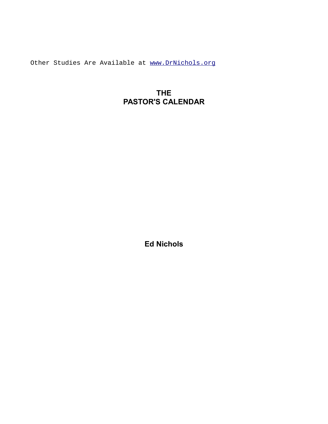Other Studies Are Available at [www.DrNichols.org](http://www.DrNichols.org/)

## **THE PASTOR'S CALENDAR**

**Ed Nichols**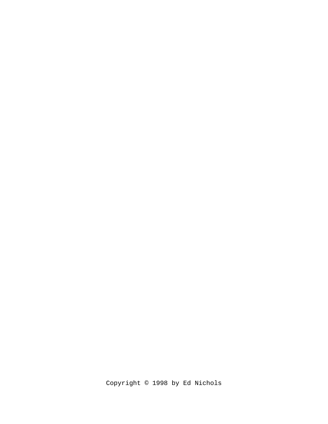Copyright © 1998 by Ed Nichols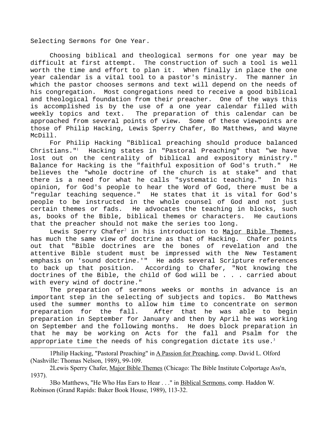Selecting Sermons for One Year.

Choosing biblical and theological sermons for one year may be difficult at first attempt. The construction of such a tool is well worth the time and effort to plan it. When finally in place the one year calendar is a vital tool to a pastor's ministry. The manner in which the pastor chooses sermons and text will depend on the needs of his congregation. Most congregations need to receive a good biblical and theological foundation from their preacher. One of the ways this is accomplished is by the use of a one year calendar filled with weekly topics and text. The preparation of this calendar can be approached from several points of view. Some of these viewpoints are those of Philip Hacking, Lewis Sperry Chafer, Bo Matthews, and Wayne McDill.

For Philip Hacking "Biblical preaching should produce balanced Christians."[1](#page-2-0) Hacking states in "Pastoral Preaching" that "we have lost out on the centrality of biblical and expository ministry." Balance for Hacking is the "faithful exposition of God's truth." He believes the "whole doctrine of the church is at stake" and that there is a need for what he calls "systematic teaching." In his opinion, for God's people to hear the Word of God, there must be a "regular teaching sequence." He states that it is vital for God's people to be instructed in the whole counsel of God and not just certain themes or fads. He advocates the teaching in blocks, such as, books of the Bible, biblical themes or characters. He cautions that the preacher should not make the series too long.

Lewis Sperry Chafer<sup>[2](#page-2-1)</sup> in his introduction to Major Bible Themes, has much the same view of doctrine as that of Hacking. Chafer points out that "Bible doctrines are the bones of revelation and the attentive Bible student must be impressed with the New Testament emphasis on 'sound doctrine.'" He adds several Scripture references to back up that position. According to Chafer, "Not knowing the doctrines of the Bible, the child of God will be . . . carried about with every wind of doctrine."

The preparation of sermons weeks or months in advance is an important step in the selecting of subjects and topics. Bo Matthews used the summer months to allow him time to concentrate on sermon preparation for the fall. After that he was able to begin preparation in September for January and then by April he was working on September and the following months. He does block preparation in that he may be working on Acts for the fall and Psalm for the appropriate time the needs of his congregation dictate its use.<sup>[3](#page-2-2)</sup>

<span id="page-2-0"></span>1Philip Hacking, "Pastoral Preaching" in A Passion for Preaching, comp. David L. Olford (Nashville: Thomas Nelson, 1989), 99-109.

<span id="page-2-1"></span>2Lewis Sperry Chafer, Major Bible Themes (Chicago: The Bible Institute Colportage Ass'n, 1937).

<span id="page-2-2"></span>3Bo Matthews, "He Who Has Ears to Hear . . ." in Biblical Sermons, comp. Haddon W. Robinson (Grand Rapids: Baker Book House, 1989), 113-32.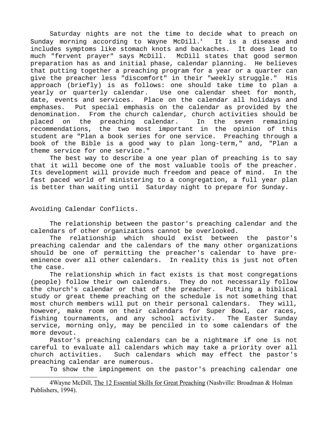Saturday nights are not the time to decide what to preach on Sunday morning according to Wayne McDill. $4$  It is a disease and includes symptoms like stomach knots and backaches. It does lead to much "fervent prayer" says McDill. McDill states that good sermon preparation has as and initial phase, calendar planning. He believes that putting together a preaching program for a year or a quarter can give the preacher less "discomfort" in their "weekly struggle." His approach (briefly) is as follows: one should take time to plan a yearly or quarterly calendar. Use one calendar sheet for month, date, events and services. Place on the calendar all holidays and emphases. Put special emphasis on the calendar as provided by the denomination. From the church calendar, church activities should be placed on the preaching calendar. In the seven remaining recommendations, the two most important in the opinion of this student are "Plan a book series for one service. Preaching through a book of the Bible is a good way to plan long-term," and, "Plan a theme service for one service."

The best way to describe a one year plan of preaching is to say that it will become one of the most valuable tools of the preacher. Its development will provide much freedom and peace of mind. In the fast paced world of ministering to a congregation, a full year plan is better than waiting until Saturday night to prepare for Sunday.

## Avoiding Calendar Conflicts.

The relationship between the pastor's preaching calendar and the calendars of other organizations cannot be overlooked.

The relationship which should exist between the pastor's preaching calendar and the calendars of the many other organizations should be one of permitting the preacher's calendar to have preeminence over all other calendars. In reality this is just not often the case.

The relationship which in fact exists is that most congregations (people) follow their own calendars. They do not necessarily follow the church's calendar or that of the preacher. Putting a biblical study or great theme preaching on the schedule is not something that most church members will put on their personal calendars. They will, however, make room on their calendars for Super Bowl, car races, fishing tournaments, and any school activity. The Easter Sunday service, morning only, may be penciled in to some calendars of the more devout.

Pastor's preaching calendars can be a nightmare if one is not careful to evaluate all calendars which may take a priority over all church activities. Such calendars which may effect the pastor's preaching calendar are numerous.

<span id="page-3-0"></span>To show the impingement on the pastor's preaching calendar one

4Wayne McDill, The 12 Essential Skills for Great Preaching (Nashville: Broadman & Holman Publishers, 1994).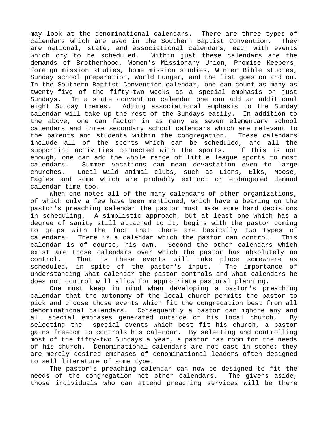may look at the denominational calendars. There are three types of calendars which are used in the Southern Baptist Convention. They are national, state, and associational calendars, each with events which cry to be scheduled. Within just these calendars are the demands of Brotherhood, Women's Missionary Union, Promise Keepers, foreign mission studies, home mission studies, Winter Bible studies, Sunday school preparation, World Hunger, and the list goes on and on. In the Southern Baptist Convention calendar, one can count as many as twenty-five of the fifty-two weeks as a special emphasis on just Sundays. In a state convention calendar one can add an additional eight Sunday themes. Adding associational emphasis to the Sunday calendar will take up the rest of the Sundays easily. In addition to the above, one can factor in as many as seven elementary school calendars and three secondary school calendars which are relevant to the parents and students within the congregation. These calendars include all of the sports which can be scheduled, and all the supporting activities connected with the sports. If this is not enough, one can add the whole range of little league sports to most calendars. Summer vacations can mean devastation even to large churches. Local wild animal clubs, such as Lions, Elks, Moose, Eagles and some which are probably extinct or endangered demand calendar time too.

When one notes all of the many calendars of other organizations, of which only a few have been mentioned, which have a bearing on the pastor's preaching calendar the pastor must make some hard decisions in scheduling. A simplistic approach, but at least one which has a degree of sanity still attached to it, begins with the pastor coming to grips with the fact that there are basically two types of calendars. There is a calendar which the pastor can control. This calendar is of course, his own. Second the other calendars which exist are those calendars over which the pastor has absolutely no control. That is these events will take place somewhere as scheduled, in spite of the pastor's input. The importance of understanding what calendar the pastor controls and what calendars he does not control will allow for appropriate pastoral planning.

One must keep in mind when developing a pastor's preaching calendar that the autonomy of the local church permits the pastor to pick and choose those events which fit the congregation best from all denominational calendars. Consequently a pastor can ignore any and all special emphases generated outside of his local church. By selecting the special events which best fit his church, a pastor gains freedom to controls his calendar. By selecting and controlling most of the fifty-two Sundays a year, a pastor has room for the needs of his church. Denominational calendars are not cast in stone; they are merely desired emphases of denominational leaders often designed to sell literature of some type.

The pastor's preaching calendar can now be designed to fit the needs of the congregation not other calendars. The givens aside, those individuals who can attend preaching services will be there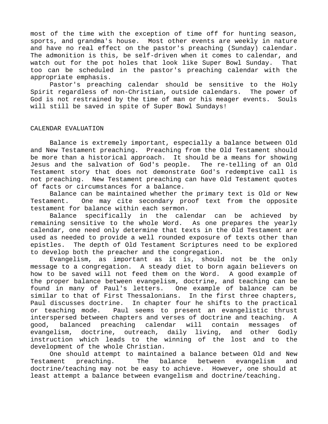most of the time with the exception of time off for hunting season, sports, and grandma's house. Most other events are weekly in nature and have no real effect on the pastor's preaching (Sunday) calendar. The admonition is this, be self-driven when it comes to calendar, and watch out for the pot holes that look like Super Bowl Sunday. That too can be scheduled in the pastor's preaching calendar with the appropriate emphasis.

Pastor's preaching calendar should be sensitive to the Holy Spirit regardless of non-Christian, outside calendars. The power of God is not restrained by the time of man or his meager events. Souls will still be saved in spite of Super Bowl Sundays!

## CALENDAR EVALUATION

Balance is extremely important, especially a balance between Old and New Testament preaching. Preaching from the Old Testament should be more than a historical approach. It should be a means for showing Jesus and the salvation of God's people. The re-telling of an Old Testament story that does not demonstrate God's redemptive call is not preaching. New Testament preaching can have Old Testament quotes of facts or circumstances for a balance.

Balance can be maintained whether the primary text is Old or New Testament. One may cite secondary proof text from the opposite testament for balance within each sermon.

Balance specifically in the calendar can be achieved by remaining sensitive to the whole Word. As one prepares the yearly calendar, one need only determine that texts in the Old Testament are used as needed to provide a well rounded exposure of texts other than epistles. The depth of Old Testament Scriptures need to be explored to develop both the preacher and the congregation.

Evangelism, as important as it is, should not be the only message to a congregation. A steady diet to born again believers on how to be saved will not feed them on the Word. A good example of the proper balance between evangelism, doctrine, and teaching can be found in many of Paul's letters. One example of balance can be similar to that of First Thessalonians. In the first three chapters, Paul discusses doctrine. In chapter four he shifts to the practical or teaching mode. Paul seems to present an evangelistic thrust interspersed between chapters and verses of doctrine and teaching. A good, balanced preaching calendar will contain messages of evangelism, doctrine, outreach, daily living, and other Godly instruction which leads to the winning of the lost and to the development of the whole Christian.

One should attempt to maintained a balance between Old and New Testament preaching. The balance between evangelism and doctrine/teaching may not be easy to achieve. However, one should at least attempt a balance between evangelism and doctrine/teaching.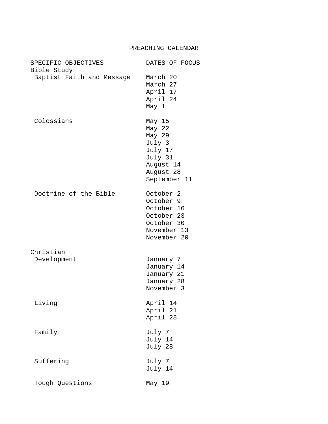| SPECIFIC OBJECTIVES<br>Bible Study | DATES OF FOCUS                                                                                            |
|------------------------------------|-----------------------------------------------------------------------------------------------------------|
| Baptist Faith and Message          | March 20<br>March 27<br>April 17<br>April 24<br>May 1                                                     |
| Colossians                         | May 15<br>May 22<br>May 29<br>July 3<br>July 17<br>July 31<br>August 14<br>August 28<br>September 11      |
| Doctrine of the Bible              | October <sub>2</sub><br>October 9<br>October 16<br>October 23<br>October 30<br>November 13<br>November 20 |
| Christian                          |                                                                                                           |
| Development                        | January 7<br>January 14<br>January 21<br>January 28<br>November 3                                         |
| Living                             | April 14<br>April 21<br>April 28                                                                          |
| Family                             | July 7<br>July 14<br>July 28                                                                              |
| Suffering                          | July 7<br>July 14                                                                                         |
| Tough Questions                    | May 19                                                                                                    |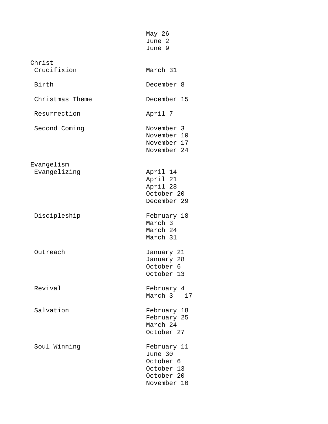|                       | May 26<br>June 2<br>June 9                                                     |
|-----------------------|--------------------------------------------------------------------------------|
| Christ<br>Crucifixion | March 31                                                                       |
| Birth                 | December 8                                                                     |
| Christmas Theme       | December 15                                                                    |
| Resurrection          | April 7                                                                        |
| Second Coming         | November 3<br>November 10<br>November 17<br>November 24                        |
| Evangelism            |                                                                                |
| Evangelizing          | April 14<br>April 21<br>April 28<br>October 20<br>December 29                  |
| Discipleship          | February 18<br>March 3<br>March 24<br>March 31                                 |
| Outreach              | January 21<br>January 28<br>October 6<br>October 13                            |
| Revival               | February 4<br>March $3 - 17$                                                   |
| Salvation             | February 18<br>February 25<br>March 24<br>October 27                           |
| Soul Winning          | February 11<br>June 30<br>October 6<br>October 13<br>October 20<br>November 10 |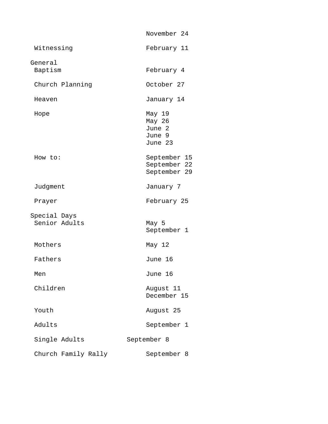|                               | November 24                                     |
|-------------------------------|-------------------------------------------------|
| Witnessing                    | February 11                                     |
| General<br>Baptism            | February 4                                      |
| Church Planning               | October 27                                      |
| Heaven                        | January 14                                      |
| Hope                          | May 19<br>May 26<br>June 2<br>June 9<br>June 23 |
| How to:                       | September 15<br>September 22<br>September 29    |
| Judgment                      | January 7                                       |
| Prayer                        | February 25                                     |
| Special Days<br>Senior Adults | May 5<br>September 1                            |
| Mothers                       | May 12                                          |
| Fathers                       | June 16                                         |
| Men                           | June 16                                         |
| Children                      | August 11<br>December 15                        |
| Youth                         | August 25                                       |
| Adults                        | September 1                                     |
| Single Adults                 | September 8                                     |
| Church Family Rally           | September 8                                     |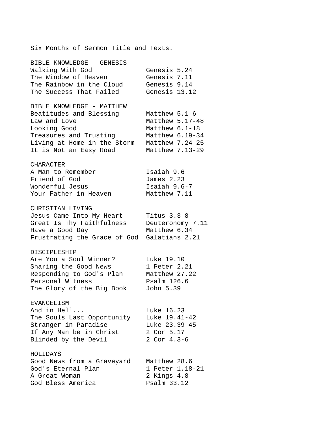Six Months of Sermon Title and Texts. BIBLE KNOWLEDGE - GENESIS Walking With God Genesis 5.24 The Window of Heaven Genesis 7.11 The Rainbow in the Cloud Genesis 9.14 The Success That Failed Genesis 13.12 BIBLE KNOWLEDGE - MATTHEW Beatitudes and Blessing Matthew 5.1-6 Law and Love Matthew 5.17-48 Looking Good Matthew 6.1-18 Treasures and Trusting Matthew 6.19-34 Living at Home in the Storm Matthew 7.24-25 It is Not an Easy Road Matthew 7.13-29 CHARACTER A Man to Remember Isaiah 9.6 Friend of God James 2.23 Wonderful Jesus **Isaiah 9.6-7** Your Father in Heaven Matthew 7.11 CHRISTIAN LIVING Jesus Came Into My Heart Titus 3.3-8<br>Great Is Thy Faithfulness Deuteronomy 7.11 Great Is Thy Faithfulness Have a Good Day Matthew 6.34 Frustrating the Grace of God Galatians 2.21 DISCIPLESHIP Are You a Soul Winner? Luke 19.10 Sharing the Good News 1 Peter 2.21 Responding to God's Plan Matthew 27.22 Personal Witness Psalm 126.6 The Glory of the Big Book John 5.39 EVANGELISM And in Hell... Luke 16.23 The Souls Last Opportunity Luke 19.41-42 Stranger in Paradise Luke 23.39-45 If Any Man be in Christ 2 Cor 5.17 Blinded by the Devil 2 Cor 4.3-6 HOLIDAYS Good News from a Graveyard Matthew 28.6 God's Eternal Plan 1 Peter 1.18-21 A Great Woman 2 Kings 4.8 God Bless America Psalm 33.12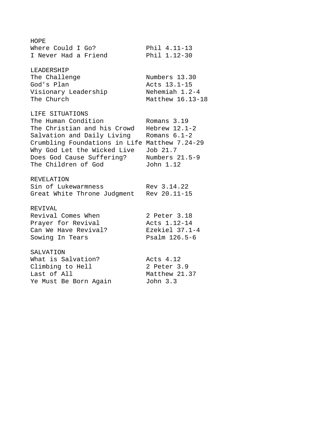HOPE Where Could I Go? Phil 4.11-13 I Never Had a Friend Phil 1.12-30 LEADERSHIP The Challenge Numbers 13.30 God's Plan Acts 13.1-15 Visionary Leadership The Church Matthew 16.13-18 LIFE SITUATIONS The Human Condition Romans 3.19 The Christian and his Crowd Hebrew 12.1-2 Salvation and Daily Living Romans 6.1-2 Crumbling Foundations in Life Matthew 7.24-29 Why God Let the Wicked Live Job 21.7 Does God Cause Suffering? Numbers 21.5-9 The Children of God John 1.12 REVELATION Sin of Lukewarmness Rev 3.14.22 Great White Throne Judgment Rev 20.11-15 REVIVAL Revival Comes When 2 Peter 3.18<br>
Prayer for Revival 2 Acts 1.12-14<br>
Can We Have Revival?<br>
Ezekiel 37.1-4 Prayer for Revival Macts 1.12-14 Can We Have Revival? The Base Reserval Base Can Ne Have Sowing In Tears Psalm 126.5-6 SALVATION What is Salvation? The Macts 4.12 Climbing to Hell 2 Peter 3.9 Last of All **Matthew 21.37** Ye Must Be Born Again John 3.3